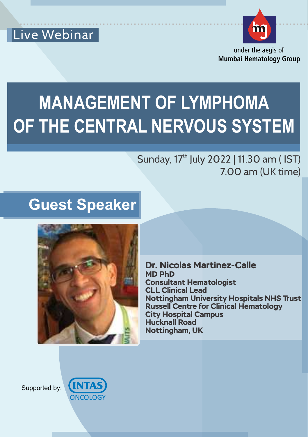



under the aegis of **Mumbai Hematology Group**

# **MANAGEMENT OF LYMPHOMA OF THE CENTRAL NERVOUS SYSTEM**

### Sunday, 17<sup>th</sup> July 2022 | 11.30 am ( IST) 7.00 am (UK time)

# **Guest Speaker**



**Dr. Nicolas Martinez-Calle MD PhD Consultant Hematologist CLL Clinical Lead Nottingham University Hospitals NHS Trust Russell Centre for Clinical Hematology City Hospital Campus Hucknall Road Nottingham, UK**

Supported by:

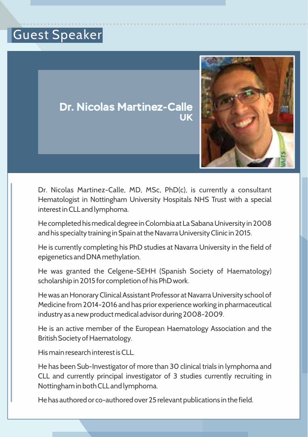### .......................................................................................... Guest Speaker





Dr. Nicolas Martinez-Calle, MD, MSc, PhD(c), is currently a consultant Hematologist in Nottingham University Hospitals NHS Trust with a special interest in CLL and lymphoma.

He completed his medical degree in Colombia at La Sabana University in 2008 and his specialty training in Spain at the Navarra University Clinic in 2015.

He is currently completing his PhD studies at Navarra University in the field of epigenetics and DNA methylation.

He was granted the Celgene-SEHH (Spanish Society of Haematology) scholarship in 2015 for completion of his PhD work.

He was an Honorary Clinical Assistant Professor at Navarra University school of Medicine from 2014-2016 and has prior experience working in pharmaceutical industry as a new product medical advisor during 2008-2009.

He is an active member of the European Haematology Association and the British Society of Haematology.

His main research interest is CLL.

He has been Sub-Investigator of more than 30 clinical trials in lymphoma and CLL and currently principal investigator of 3 studies currently recruiting in Nottingham in both CLL and lymphoma.

He has authored or co-authored over 25 relevant publications in the field.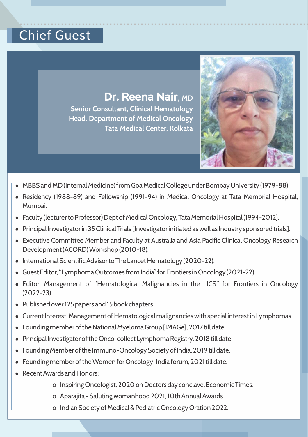### .......................................................................................... Chief Guest

#### **Dr. Reena Nair**, **MD**

**Senior Consultant, Clinical Hematology Head, Department of Medical Oncology Tata Medical Center, Kolkata**



- MBBS and MD (Internal Medicine) from Goa Medical College under Bombay University (1979-88).
- Residency (1988-89) and Fellowship (1991-94) in Medical Oncology at Tata Memorial Hospital, Mumbai.
- Faculty (lecturer to Professor) Dept of Medical Oncology, Tata Memorial Hospital (1994-2012).
- Principal Investigator in 35 Clinical Trials [Investigator initiated as well as Industry sponsored trials].
- Executive Committee Member and Faculty at Australia and Asia Pacific Clinical Oncology Research Development (ACORD) Workshop (2010-18).
- International Scientific Advisor to The Lancet Hematology (2020-22).
- Guest Editor, "Lymphoma Outcomes from India" for Frontiers in Oncology (2021-22).
- Editor, Management of "Hematological Malignancies in the LICS" for Frontiers in Oncology (2022-23).
- Published over 125 papers and 15 book chapters.
- Current Interest: Management of Hematological malignancies with special interest in Lymphomas.
- Founding member of the National Myeloma Group [IMAGe], 2017 till date.
- <sup>l</sup> Principal Investigator of the Onco-collect Lymphoma Registry, 2018 till date.
- <sup>l</sup> Founding Member of the Immuno-Oncology Society of India, 2019 till date.
- <sup>l</sup> Founding member of the Women for Oncology-India forum, 2021 till date.
- Recent Awards and Honors:
	- o Inspiring Oncologist, 2020 on Doctors day conclave, Economic Times.
	- o Aparajita Saluting womanhood 2021, 10th Annual Awards.
	- o Indian Society of Medical & Pediatric Oncology Oration 2022.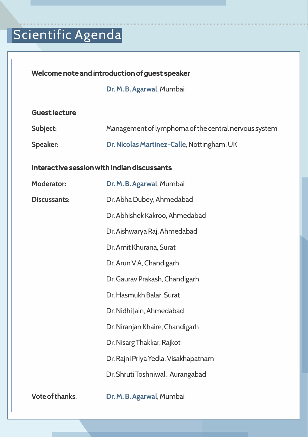# .......................................................................................... Scientific Agenda

#### **Welcome note and introduction of guest speaker**

**Dr. M. B. Agarwal**, Mumbai

#### **Guest lecture**

| Subject: | Management of lymphoma of the central nervous system |
|----------|------------------------------------------------------|
| Speaker: | Dr. Nicolas Martinez-Calle, Nottingham, UK           |

#### **Interactive session with Indian discussants**

| <b>Moderator:</b>      | Dr. M. B. Agarwal, Mumbai            |
|------------------------|--------------------------------------|
| <b>Discussants:</b>    | Dr. Abha Dubey, Ahmedabad            |
|                        | Dr. Abhishek Kakroo, Ahmedabad       |
|                        | Dr. Aishwarya Raj, Ahmedabad         |
|                        | Dr. Amit Khurana, Surat              |
|                        | Dr. Arun V A, Chandigarh             |
|                        | Dr. Gaurav Prakash, Chandigarh       |
|                        | Dr. Hasmukh Balar, Surat             |
|                        | Dr. Nidhi Jain, Ahmedabad            |
|                        | Dr. Niranjan Khaire, Chandigarh      |
|                        | Dr. Nisarg Thakkar, Rajkot           |
|                        | Dr. Rajni Priya Yedla, Visakhapatnam |
|                        | Dr. Shruti Toshniwal, Aurangabad     |
| <b>Vote of thanks:</b> | Dr. M. B. Agarwal, Mumbai            |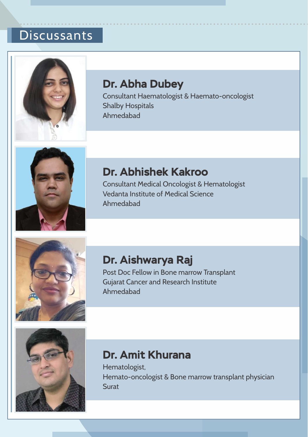# **Discussants**



### **Dr. Abha Dubey**

Consultant Haematologist & Haemato-oncologist Shalby Hospitals Ahmedabad

..........................................................................................



### **Dr. Abhishek Kakroo**

Consultant Medical Oncologist & Hematologist Vedanta Institute of Medical Science Ahmedabad



### **Dr. Aishwarya Raj**

Post Doc Fellow in Bone marrow Transplant Gujarat Cancer and Research Institute Ahmedabad



### **Dr. Amit Khurana**

Hematologist, Hemato-oncologist & Bone marrow transplant physician **Surat**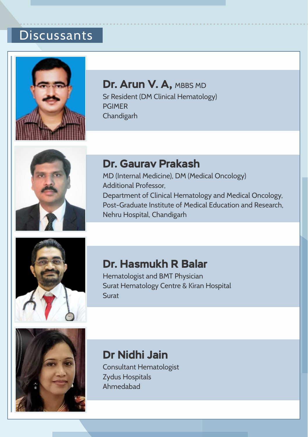# **Discussants**



#### **Dr. Arun V. A, MBBS MD**

Sr Resident (DM Clinical Hematology) PGIMER Chandigarh

..........................................................................................



#### **Dr. Gaurav Prakash**

MD (Internal Medicine), DM (Medical Oncology) Additional Professor, Department of Clinical Hematology and Medical Oncology, Post-Graduate Institute of Medical Education and Research, Nehru Hospital, Chandigarh



#### **Dr. Hasmukh R Balar**

Hematologist and BMT Physician Surat Hematology Centre & Kiran Hospital **Surat** 



### **Dr Nidhi Jain**

Consultant Hematologist Zydus Hospitals Ahmedabad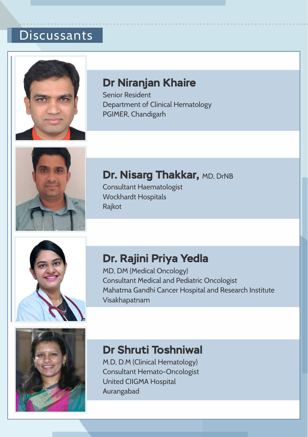# **Discussants**



### **Dr Niranjan Khaire**

Senior Resident Department of Clinical Hematology PGIMER, Chandigarh

..........................................................................................



### **Dr. Nisarg Thakkar, MD, DrNB**

Consultant Haematologist Wockhardt Hospitals Rajkot

 $\mathcal{L}_{\text{max}}$  , where  $\mathcal{L}_{\text{max}}$ 



### **Dr. Rajini Priya Yedla**

MD, DM (Medical Oncology) Consultant Medical and Pediatric Oncologist Mahatma Gandhi Cancer Hospital and Research Institute Visakhapatnam



### **Dr Shruti Toshniwal**

M.D, D.M (Clinical Hematology) Consultant Hemato-Oncologist United CIIGMA Hospital Aurangabad